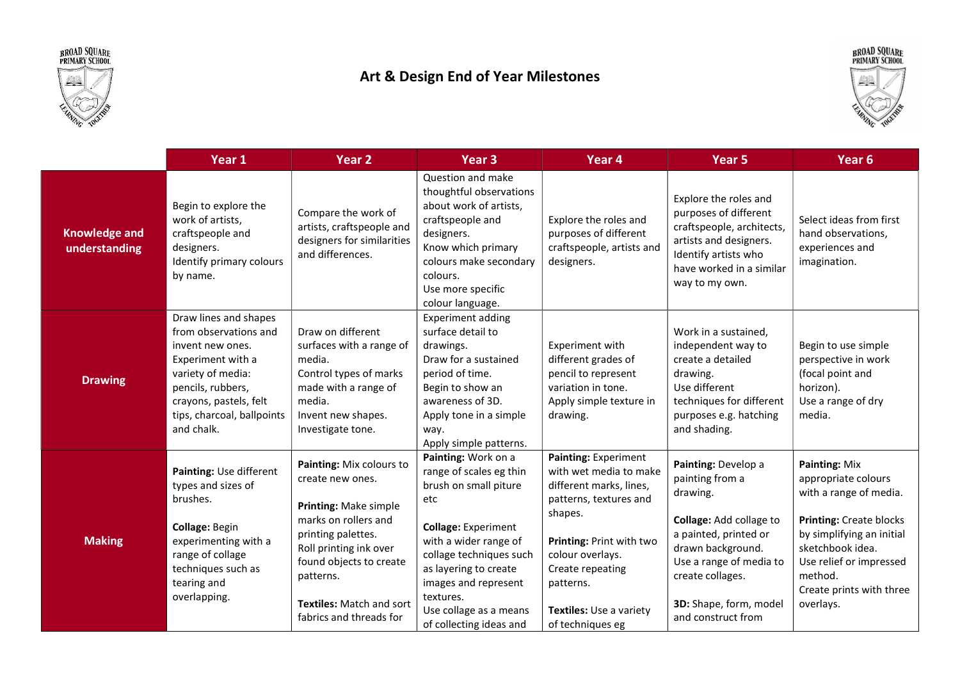



## Art & Design End of Year Milestones



|                                       | Year 1                                                                                                                                                                                                  | Year <sub>2</sub>                                                                                                                                                                                                                                   | Year <sub>3</sub>                                                                                                                                                                                                                                                                   | Year <sub>4</sub>                                                                                                                                                                                                                              | Year <sub>5</sub>                                                                                                                                                                                                          | Year <sub>6</sub>                                                                                                                                                                                                                |
|---------------------------------------|---------------------------------------------------------------------------------------------------------------------------------------------------------------------------------------------------------|-----------------------------------------------------------------------------------------------------------------------------------------------------------------------------------------------------------------------------------------------------|-------------------------------------------------------------------------------------------------------------------------------------------------------------------------------------------------------------------------------------------------------------------------------------|------------------------------------------------------------------------------------------------------------------------------------------------------------------------------------------------------------------------------------------------|----------------------------------------------------------------------------------------------------------------------------------------------------------------------------------------------------------------------------|----------------------------------------------------------------------------------------------------------------------------------------------------------------------------------------------------------------------------------|
| <b>Knowledge and</b><br>understanding | Begin to explore the<br>work of artists,<br>craftspeople and<br>designers.<br>Identify primary colours<br>by name.                                                                                      | Compare the work of<br>artists, craftspeople and<br>designers for similarities<br>and differences.                                                                                                                                                  | Question and make<br>thoughtful observations<br>about work of artists,<br>craftspeople and<br>designers.<br>Know which primary<br>colours make secondary<br>colours.<br>Use more specific<br>colour language.                                                                       | Explore the roles and<br>purposes of different<br>craftspeople, artists and<br>designers.                                                                                                                                                      | Explore the roles and<br>purposes of different<br>craftspeople, architects,<br>artists and designers.<br>Identify artists who<br>have worked in a similar<br>way to my own.                                                | Select ideas from first<br>hand observations,<br>experiences and<br>imagination.                                                                                                                                                 |
| <b>Drawing</b>                        | Draw lines and shapes<br>from observations and<br>invent new ones.<br>Experiment with a<br>variety of media:<br>pencils, rubbers,<br>crayons, pastels, felt<br>tips, charcoal, ballpoints<br>and chalk. | Draw on different<br>surfaces with a range of<br>media.<br>Control types of marks<br>made with a range of<br>media.<br>Invent new shapes.<br>Investigate tone.                                                                                      | <b>Experiment adding</b><br>surface detail to<br>drawings.<br>Draw for a sustained<br>period of time.<br>Begin to show an<br>awareness of 3D.<br>Apply tone in a simple<br>way.<br>Apply simple patterns.                                                                           | Experiment with<br>different grades of<br>pencil to represent<br>variation in tone.<br>Apply simple texture in<br>drawing.                                                                                                                     | Work in a sustained,<br>independent way to<br>create a detailed<br>drawing.<br>Use different<br>techniques for different<br>purposes e.g. hatching<br>and shading.                                                         | Begin to use simple<br>perspective in work<br>(focal point and<br>horizon).<br>Use a range of dry<br>media.                                                                                                                      |
| <b>Making</b>                         | Painting: Use different<br>types and sizes of<br>brushes.<br>Collage: Begin<br>experimenting with a<br>range of collage<br>techniques such as<br>tearing and<br>overlapping.                            | Painting: Mix colours to<br>create new ones.<br>Printing: Make simple<br>marks on rollers and<br>printing palettes.<br>Roll printing ink over<br>found objects to create<br>patterns.<br><b>Textiles: Match and sort</b><br>fabrics and threads for | Painting: Work on a<br>range of scales eg thin<br>brush on small piture<br>etc<br><b>Collage: Experiment</b><br>with a wider range of<br>collage techniques such<br>as layering to create<br>images and represent<br>textures.<br>Use collage as a means<br>of collecting ideas and | Painting: Experiment<br>with wet media to make<br>different marks, lines,<br>patterns, textures and<br>shapes.<br>Printing: Print with two<br>colour overlays.<br>Create repeating<br>patterns.<br>Textiles: Use a variety<br>of techniques eg | Painting: Develop a<br>painting from a<br>drawing.<br>Collage: Add collage to<br>a painted, printed or<br>drawn background.<br>Use a range of media to<br>create collages.<br>3D: Shape, form, model<br>and construct from | Painting: Mix<br>appropriate colours<br>with a range of media.<br><b>Printing: Create blocks</b><br>by simplifying an initial<br>sketchbook idea.<br>Use relief or impressed<br>method.<br>Create prints with three<br>overlays. |